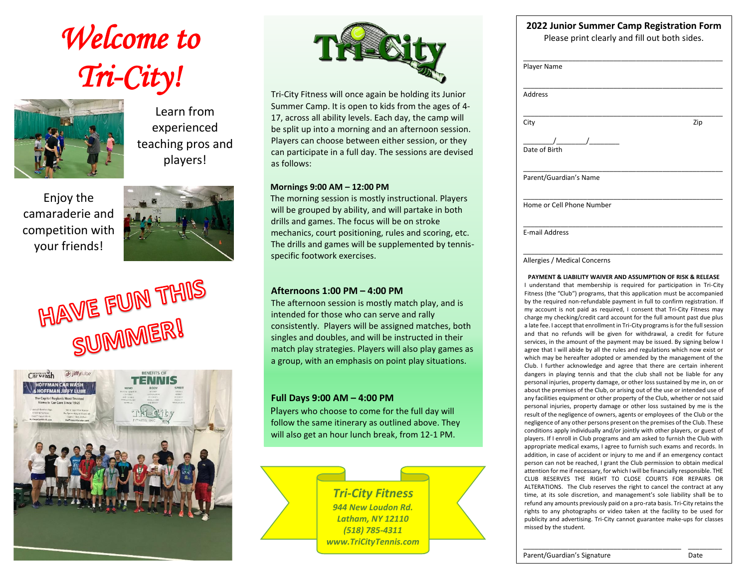# *Welcome to Tri-City!*



Learn from experienced teaching pros and players!

Enjoy the camaraderie and competition with your friends!



HAVE FUN THIS SUMMER!





Tri-City Fitness will once again be holding its Junior Summer Camp. It is open to kids from the ages of 4- 17, across all ability levels. Each day, the camp will be split up into a morning and an afternoon session. Players can choose between either session, or they can participate in a full day. The sessions are devised as follows:

#### **Mornings 9:00 AM – 12:00 PM**

The morning session is mostly instructional. Players will be grouped by ability, and will partake in both drills and games. The focus will be on stroke mechanics, court positioning, rules and scoring, etc. The drills and games will be supplemented by tennisspecific footwork exercises.

### **Afternoons 1:00 PM – 4:00 PM**

The afternoon session is mostly match play, and is intended for those who can serve and rally consistently. Players will be assigned matches, both singles and doubles, and will be instructed in their match play strategies. Players will also play games as a group, with an emphasis on point play situations.

### **Full Days 9:00 AM – 4:00 PM**

Players who choose to come for the full day will follow the same itinerary as outlined above. They will also get an hour lunch break, from 12-1 PM.

> *Tri-City Fitness 944 New Loudon Rd. Latham, NY 12110 (518) 785-4311 www.TriCityTennis.com*

## **2022 Junior Summer Camp Registration Form**

Please print clearly and fill out both sides.

| Zip |
|-----|
|     |
|     |
|     |
|     |
|     |

Allergies / Medical Concerns

**PAYMENT & LIABILITY WAIVER AND ASSUMPTION OF RISK & RELEASE** I understand that membership is required for participation in Tri-City Fitness (the "Club") programs, that this application must be accompanied by the required non-refundable payment in full to confirm registration. If my account is not paid as required, I consent that Tri-City Fitness may charge my checking/credit card account for the full amount past due plus a late fee. I accept that enrollment in Tri-City programs is for the full session and that no refunds will be given for withdrawal, a credit for future services, in the amount of the payment may be issued. By signing below I agree that I will abide by all the rules and regulations which now exist or which may be hereafter adopted or amended by the management of the Club. I further acknowledge and agree that there are certain inherent dangers in playing tennis and that the club shall not be liable for any personal injuries, property damage, or other loss sustained by me in, on or about the premises of the Club, or arising out of the use or intended use of any facilities equipment or other property of the Club, whether or not said personal injuries, property damage or other loss sustained by me is the result of the negligence of owners, agents or employees of the Club or the negligence of any other persons present on the premises of the Club. These conditions apply individually and/or jointly with other players, or guest of players. If I enroll in Club programs and am asked to furnish the Club with appropriate medical exams, I agree to furnish such exams and records. In addition, in case of accident or injury to me and if an emergency contact person can not be reached, I grant the Club permission to obtain medical attention for me if necessary, for which I will be financially responsible. THE CLUB RESERVES THE RIGHT TO CLOSE COURTS FOR REPAIRS OR ALTERATIONS. The Club reserves the right to cancel the contract at any time, at its sole discretion, and management's sole liability shall be to refund any amounts previously paid on a pro-rata basis. Tri-City retains the rights to any photographs or video taken at the facility to be used for publicity and advertising. Tri-City cannot guarantee make-ups for classes missed by the student.

\_\_\_\_\_\_\_\_\_\_\_\_\_\_\_\_\_\_\_\_\_\_\_\_\_\_\_\_\_\_\_\_\_\_\_\_\_\_\_\_\_\_ \_\_\_\_\_\_\_\_\_